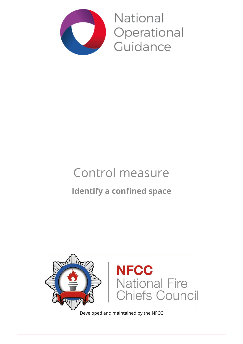

National Operational Guidance

# Control measure **Identify a confined space**



Developed and maintained by the NFCC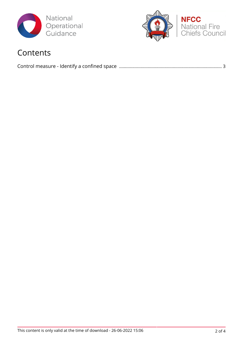



### Contents

|--|--|--|--|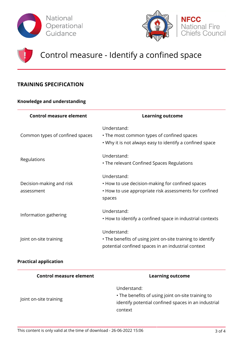





## Control measure - Identify a confined space

### **TRAINING SPECIFICATION**

#### **Knowledge and understanding**

| <b>Control measure element</b>         | <b>Learning outcome</b>                                                                                                             |
|----------------------------------------|-------------------------------------------------------------------------------------------------------------------------------------|
| Common types of confined spaces        | Understand:<br>• The most common types of confined spaces<br>• Why it is not always easy to identify a confined space               |
| Regulations                            | Understand:<br>• The relevant Confined Spaces Regulations                                                                           |
| Decision-making and risk<br>assessment | Understand:<br>• How to use decision-making for confined spaces<br>• How to use appropriate risk assessments for confined<br>spaces |
| Information gathering                  | Understand:<br>• How to identify a confined space in industrial contexts                                                            |
| Joint on-site training                 | Understand:<br>• The benefits of using joint on-site training to identify<br>potential confined spaces in an industrial context     |

#### **Practical application**

| <b>Control measure element</b> | <b>Learning outcome</b>                                                                                                            |
|--------------------------------|------------------------------------------------------------------------------------------------------------------------------------|
| Joint on-site training         | Understand:<br>• The benefits of using joint on-site training to<br>identify potential confined spaces in an industrial<br>context |